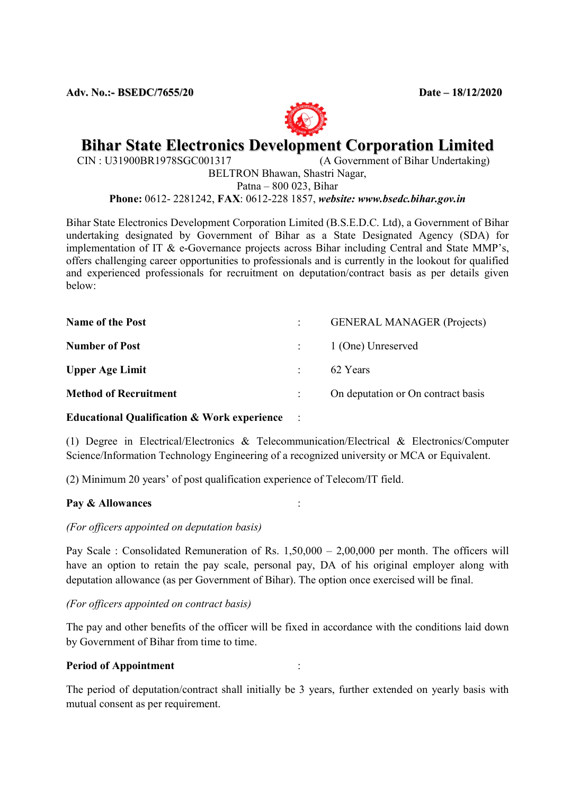Adv. No.:- BSEDC/7655/20 Date – 18/12/2020



# **Bihar State Electronics Development Corporation Limited**<br>CIN: U31900BR1978SGC001317 (A Government of Bihar Undertaking)

 $(A$  Government of Bihar Undertaking) BELTRON Bhawan, Shastri Nagar,

Patna – 800 023, Bihar

Phone: 0612- 2281242, FAX: 0612-228 1857, website: www.bsedc.bihar.gov.in

Bihar State Electronics Development Corporation Limited (B.S.E.D.C. Ltd), a Government of Bihar undertaking designated by Government of Bihar as a State Designated Agency (SDA) for implementation of IT & e-Governance projects across Bihar including Central and State MMP's, offers challenging career opportunities to professionals and is currently in the lookout for qualified and experienced professionals for recruitment on deputation/contract basis as per details given below:

| <b>Name of the Post</b>      |               | <b>GENERAL MANAGER (Projects)</b>  |
|------------------------------|---------------|------------------------------------|
| <b>Number of Post</b>        |               | 1 (One) Unreserved                 |
| <b>Upper Age Limit</b>       | $\mathcal{L}$ | 62 Years                           |
| <b>Method of Recruitment</b> |               | On deputation or On contract basis |

#### Educational Qualification & Work experience

(1) Degree in Electrical/Electronics & Telecommunication/Electrical & Electronics/Computer Science/Information Technology Engineering of a recognized university or MCA or Equivalent.

(2) Minimum 20 years' of post qualification experience of Telecom/IT field.

#### Pay & Allowances :

#### (For officers appointed on deputation basis)

Pay Scale : Consolidated Remuneration of Rs. 1,50,000 – 2,00,000 per month. The officers will have an option to retain the pay scale, personal pay, DA of his original employer along with deputation allowance (as per Government of Bihar). The option once exercised will be final.

(For officers appointed on contract basis)

The pay and other benefits of the officer will be fixed in accordance with the conditions laid down by Government of Bihar from time to time.

#### Period of Appointment :

The period of deputation/contract shall initially be 3 years, further extended on yearly basis with mutual consent as per requirement.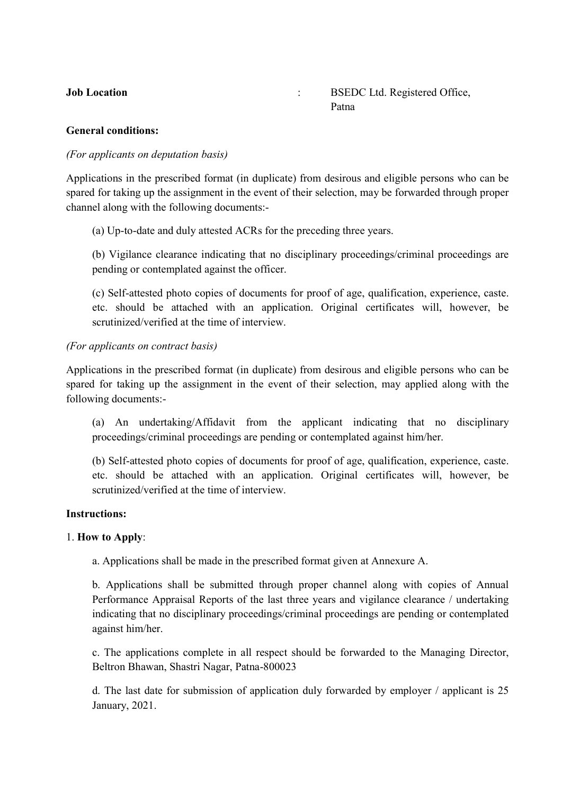**Job Location** : BSEDC Ltd. Registered Office, **Patna** Patna

#### General conditions:

#### (For applicants on deputation basis)

Applications in the prescribed format (in duplicate) from desirous and eligible persons who can be spared for taking up the assignment in the event of their selection, may be forwarded through proper channel along with the following documents:-

(a) Up-to-date and duly attested ACRs for the preceding three years.

(b) Vigilance clearance indicating that no disciplinary proceedings/criminal proceedings are pending or contemplated against the officer.

(c) Self-attested photo copies of documents for proof of age, qualification, experience, caste. etc. should be attached with an application. Original certificates will, however, be scrutinized/verified at the time of interview.

#### (For applicants on contract basis)

Applications in the prescribed format (in duplicate) from desirous and eligible persons who can be spared for taking up the assignment in the event of their selection, may applied along with the following documents:-

(a) An undertaking/Affidavit from the applicant indicating that no disciplinary proceedings/criminal proceedings are pending or contemplated against him/her.

(b) Self-attested photo copies of documents for proof of age, qualification, experience, caste. etc. should be attached with an application. Original certificates will, however, be scrutinized/verified at the time of interview.

#### Instructions:

#### 1. How to Apply:

a. Applications shall be made in the prescribed format given at Annexure A.

b. Applications shall be submitted through proper channel along with copies of Annual Performance Appraisal Reports of the last three years and vigilance clearance / undertaking indicating that no disciplinary proceedings/criminal proceedings are pending or contemplated against him/her.

c. The applications complete in all respect should be forwarded to the Managing Director, Beltron Bhawan, Shastri Nagar, Patna-800023

d. The last date for submission of application duly forwarded by employer / applicant is 25 January, 2021.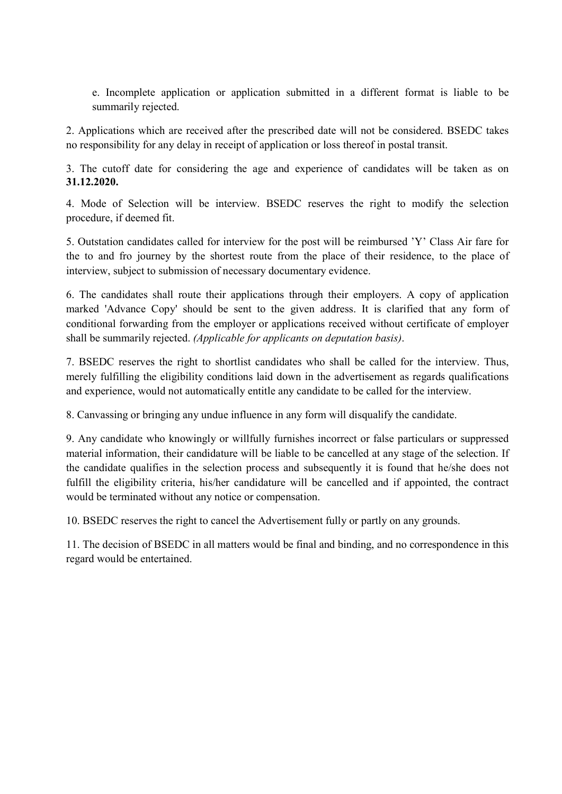e. Incomplete application or application submitted in a different format is liable to be summarily rejected.

2. Applications which are received after the prescribed date will not be considered. BSEDC takes no responsibility for any delay in receipt of application or loss thereof in postal transit.

3. The cutoff date for considering the age and experience of candidates will be taken as on 31.12.2020.

4. Mode of Selection will be interview. BSEDC reserves the right to modify the selection procedure, if deemed fit.

5. Outstation candidates called for interview for the post will be reimbursed 'Y' Class Air fare for the to and fro journey by the shortest route from the place of their residence, to the place of interview, subject to submission of necessary documentary evidence.

6. The candidates shall route their applications through their employers. A copy of application marked 'Advance Copy' should be sent to the given address. It is clarified that any form of conditional forwarding from the employer or applications received without certificate of employer shall be summarily rejected. (Applicable for applicants on deputation basis).

7. BSEDC reserves the right to shortlist candidates who shall be called for the interview. Thus, merely fulfilling the eligibility conditions laid down in the advertisement as regards qualifications and experience, would not automatically entitle any candidate to be called for the interview.

8. Canvassing or bringing any undue influence in any form will disqualify the candidate.

9. Any candidate who knowingly or willfully furnishes incorrect or false particulars or suppressed material information, their candidature will be liable to be cancelled at any stage of the selection. If the candidate qualifies in the selection process and subsequently it is found that he/she does not fulfill the eligibility criteria, his/her candidature will be cancelled and if appointed, the contract would be terminated without any notice or compensation.

10. BSEDC reserves the right to cancel the Advertisement fully or partly on any grounds.

11. The decision of BSEDC in all matters would be final and binding, and no correspondence in this regard would be entertained.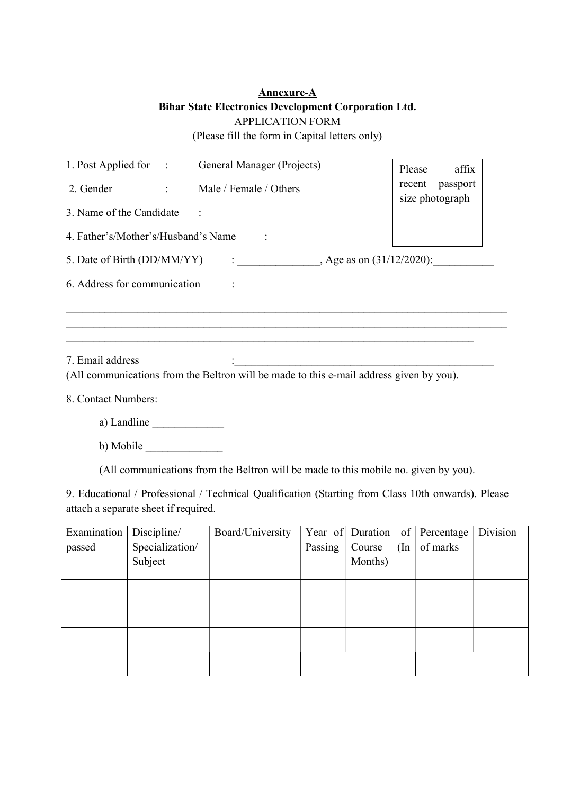## Annexure-A Bihar State Electronics Development Corporation Ltd. APPLICATION FORM (Please fill the form in Capital letters only)

| 1. Post Applied for : General Manager (Projects) |                |                                                                                         | affix<br>Please                    |
|--------------------------------------------------|----------------|-----------------------------------------------------------------------------------------|------------------------------------|
| 2. Gender                                        | $\mathbb{R}^n$ | Male / Female / Others                                                                  | recent passport<br>size photograph |
| 3. Name of the Candidate                         |                |                                                                                         |                                    |
| 4. Father's/Mother's/Husband's Name              |                |                                                                                         |                                    |
| 5. Date of Birth (DD/MM/YY)                      |                | : $\qquad \qquad$ Age as on (31/12/2020):                                               |                                    |
| 6. Address for communication                     |                |                                                                                         |                                    |
|                                                  |                |                                                                                         |                                    |
|                                                  |                |                                                                                         |                                    |
| 7. Email address                                 |                |                                                                                         |                                    |
|                                                  |                | (All communications from the Beltron will be made to this e-mail address given by you). |                                    |
| 8. Contact Numbers:                              |                |                                                                                         |                                    |
| a) Landline                                      |                |                                                                                         |                                    |

b) Mobile  $\_\_$ 

(All communications from the Beltron will be made to this mobile no. given by you).

9. Educational / Professional / Technical Qualification (Starting from Class 10th onwards). Please attach a separate sheet if required.

| Examination | Discipline/     | Board/University |         |         |          | Year of Duration of Percentage | Division |
|-------------|-----------------|------------------|---------|---------|----------|--------------------------------|----------|
| passed      | Specialization/ |                  | Passing | Course  | $(\ln  $ | of marks                       |          |
|             | Subject         |                  |         | Months) |          |                                |          |
|             |                 |                  |         |         |          |                                |          |
|             |                 |                  |         |         |          |                                |          |
|             |                 |                  |         |         |          |                                |          |
|             |                 |                  |         |         |          |                                |          |
|             |                 |                  |         |         |          |                                |          |
|             |                 |                  |         |         |          |                                |          |
|             |                 |                  |         |         |          |                                |          |
|             |                 |                  |         |         |          |                                |          |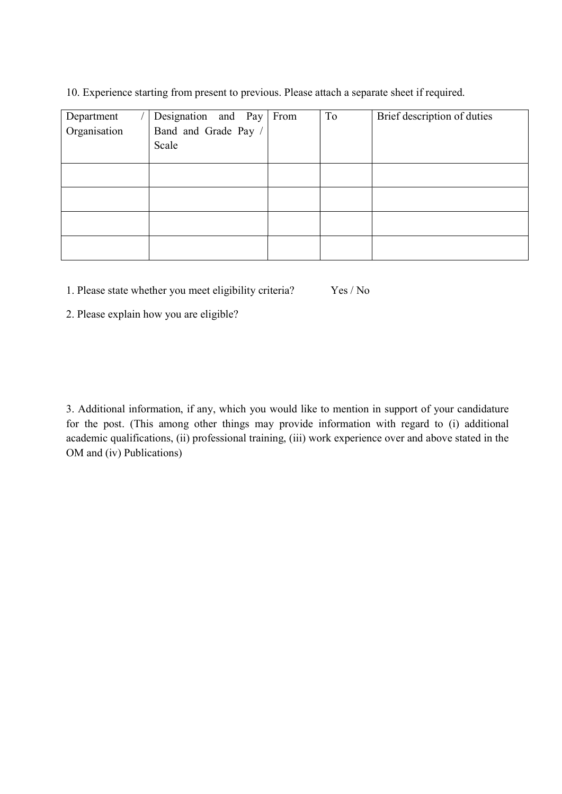10. Experience starting from present to previous. Please attach a separate sheet if required.

| Department<br>Organisation | Designation and Pay From<br>Band and Grade Pay /<br>Scale | To | Brief description of duties |
|----------------------------|-----------------------------------------------------------|----|-----------------------------|
|                            |                                                           |    |                             |
|                            |                                                           |    |                             |
|                            |                                                           |    |                             |
|                            |                                                           |    |                             |

1. Please state whether you meet eligibility criteria? Yes / No

2. Please explain how you are eligible?

3. Additional information, if any, which you would like to mention in support of your candidature for the post. (This among other things may provide information with regard to (i) additional academic qualifications, (ii) professional training, (iii) work experience over and above stated in the OM and (iv) Publications)